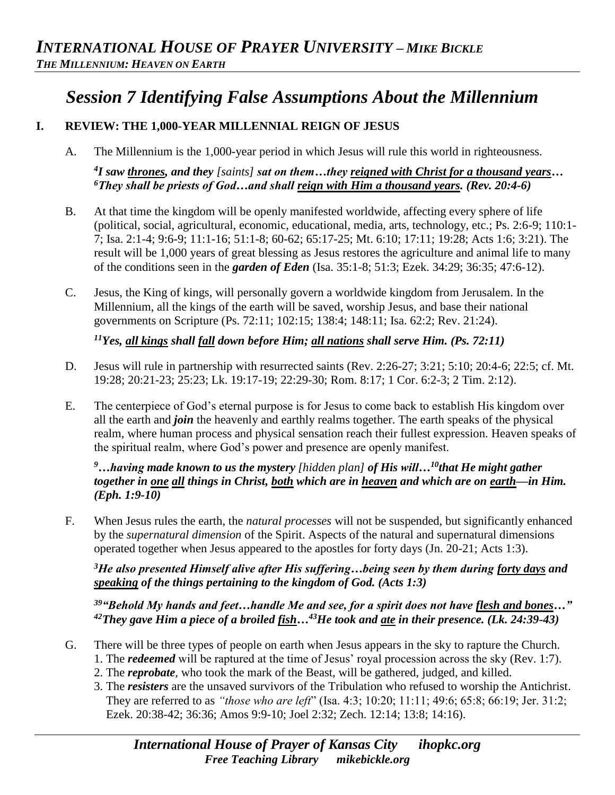# *Session 7 Identifying False Assumptions About the Millennium*

## **I. REVIEW: THE 1,000-YEAR MILLENNIAL REIGN OF JESUS**

A. The Millennium is the 1,000-year period in which Jesus will rule this world in righteousness.

*4 I saw thrones, and they [saints] sat on them…they reigned with Christ for a thousand years… <sup>6</sup>They shall be priests of God…and shall reign with Him a thousand years. (Rev. 20:4-6)* 

- B. At that time the kingdom will be openly manifested worldwide, affecting every sphere of life (political, social, agricultural, economic, educational, media, arts, technology, etc.; Ps. 2:6-9; 110:1- 7; Isa. 2:1-4; 9:6-9; 11:1-16; 51:1-8; 60-62; 65:17-25; Mt. 6:10; 17:11; 19:28; Acts 1:6; 3:21). The result will be 1,000 years of great blessing as Jesus restores the agriculture and animal life to many of the conditions seen in the *garden of Eden* (Isa. 35:1-8; 51:3; Ezek. 34:29; 36:35; 47:6-12).
- C. Jesus, the King of kings, will personally govern a worldwide kingdom from Jerusalem. In the Millennium, all the kings of the earth will be saved, worship Jesus, and base their national governments on Scripture (Ps. 72:11; 102:15; 138:4; 148:11; Isa. 62:2; Rev. 21:24).

*<sup>11</sup>Yes, all kings shall fall down before Him; all nations shall serve Him. (Ps. 72:11)* 

- D. Jesus will rule in partnership with resurrected saints (Rev. 2:26-27; 3:21; 5:10; 20:4-6; 22:5; cf. Mt. 19:28; 20:21-23; 25:23; Lk. 19:17-19; 22:29-30; Rom. 8:17; 1 Cor. 6:2-3; 2 Tim. 2:12).
- E. The centerpiece of God's eternal purpose is for Jesus to come back to establish His kingdom over all the earth and *join* the heavenly and earthly realms together. The earth speaks of the physical realm, where human process and physical sensation reach their fullest expression. Heaven speaks of the spiritual realm, where God's power and presence are openly manifest.

#### *<sup>9</sup>…having made known to us the mystery [hidden plan] of His will…<sup>10</sup>that He might gather together in one all things in Christ, both which are in heaven and which are on earth—in Him. (Eph. 1:9-10)*

F. When Jesus rules the earth, the *natural processes* will not be suspended, but significantly enhanced by the *supernatural dimension* of the Spirit. Aspects of the natural and supernatural dimensions operated together when Jesus appeared to the apostles for forty days (Jn. 20-21; Acts 1:3).

*<sup>3</sup>He also presented Himself alive after His suffering…being seen by them during forty days and speaking of the things pertaining to the kingdom of God. (Acts 1:3)*

*<sup>39</sup>"Behold My hands and feet…handle Me and see, for a spirit does not have flesh and bones…" <sup>42</sup>They gave Him a piece of a broiled fish…<sup>43</sup>He took and ate in their presence. (Lk. 24:39-43)*

- G. There will be three types of people on earth when Jesus appears in the sky to rapture the Church. 1. The *redeemed* will be raptured at the time of Jesus' royal procession across the sky (Rev. 1:7).
	- 2. The *reprobate,* who took the mark of the Beast, will be gathered, judged, and killed.
	- 3. The *resisters* are the unsaved survivors of the Tribulation who refused to worship the Antichrist. They are referred to as *"those who are left*" (Isa. 4:3; 10:20; 11:11; 49:6; 65:8; 66:19; Jer. 31:2; Ezek. 20:38-42; 36:36; Amos 9:9-10; Joel 2:32; Zech. 12:14; 13:8; 14:16).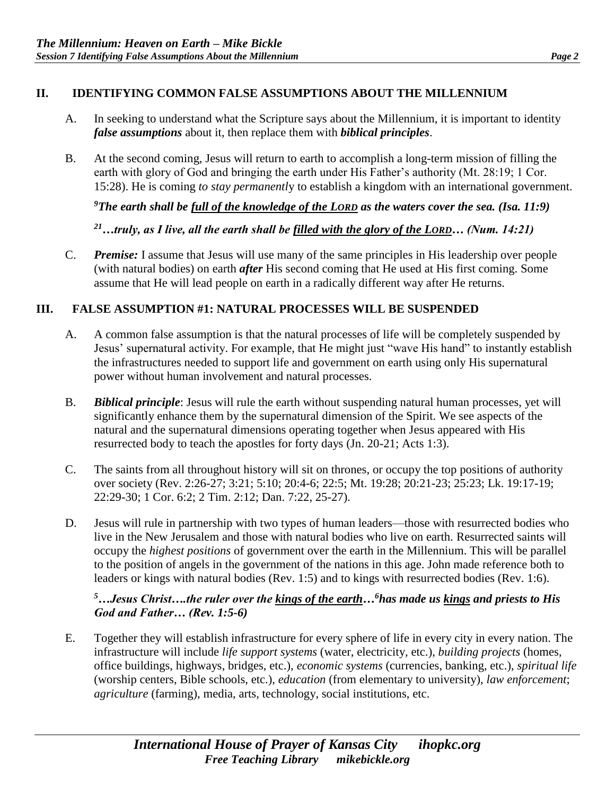#### **II. IDENTIFYING COMMON FALSE ASSUMPTIONS ABOUT THE MILLENNIUM**

- A. In seeking to understand what the Scripture says about the Millennium, it is important to identity *false assumptions* about it, then replace them with *biblical principles*.
- B. At the second coming, Jesus will return to earth to accomplish a long-term mission of filling the earth with glory of God and bringing the earth under His Father's authority (Mt. 28:19; 1 Cor. 15:28). He is coming *to stay permanentl*y to establish a kingdom with an international government.

*<sup>9</sup>The earth shall be full of the knowledge of the LORD as the waters cover the sea. (Isa. 11:9)*

*<sup>21</sup>…truly, as I live, all the earth shall be filled with the glory of the LORD… (Num. 14:21)*

C. *Premise:* I assume that Jesus will use many of the same principles in His leadership over people (with natural bodies) on earth *after* His second coming that He used at His first coming. Some assume that He will lead people on earth in a radically different way after He returns.

#### **III. FALSE ASSUMPTION #1: NATURAL PROCESSES WILL BE SUSPENDED**

- A. A common false assumption is that the natural processes of life will be completely suspended by Jesus' supernatural activity. For example, that He might just "wave His hand" to instantly establish the infrastructures needed to support life and government on earth using only His supernatural power without human involvement and natural processes.
- B. *Biblical principle*: Jesus will rule the earth without suspending natural human processes, yet will significantly enhance them by the supernatural dimension of the Spirit. We see aspects of the natural and the supernatural dimensions operating together when Jesus appeared with His resurrected body to teach the apostles for forty days (Jn. 20-21; Acts 1:3).
- C. The saints from all throughout history will sit on thrones, or occupy the top positions of authority over society (Rev. 2:26-27; 3:21; 5:10; 20:4-6; 22:5; Mt. 19:28; 20:21-23; 25:23; Lk. 19:17-19; 22:29-30; 1 Cor. 6:2; 2 Tim. 2:12; Dan. 7:22, 25-27).
- D. Jesus will rule in partnership with two types of human leaders—those with resurrected bodies who live in the New Jerusalem and those with natural bodies who live on earth. Resurrected saints will occupy the *highest positions* of government over the earth in the Millennium. This will be parallel to the position of angels in the government of the nations in this age. John made reference both to leaders or kings with natural bodies (Rev. 1:5) and to kings with resurrected bodies (Rev. 1:6).

## *<sup>5</sup>…Jesus Christ….the ruler over the kings of the earth…<sup>6</sup>has made us kings and priests to His God and Father… (Rev. 1:5-6)*

E. Together they will establish infrastructure for every sphere of life in every city in every nation. The infrastructure will include *life support systems* (water, electricity, etc.), *building projects* (homes, office buildings, highways, bridges, etc.), *economic systems* (currencies, banking, etc.), *spiritual life*  (worship centers, Bible schools, etc.), *education* (from elementary to university), *law enforcement*; *agriculture* (farming), media, arts, technology, social institutions, etc.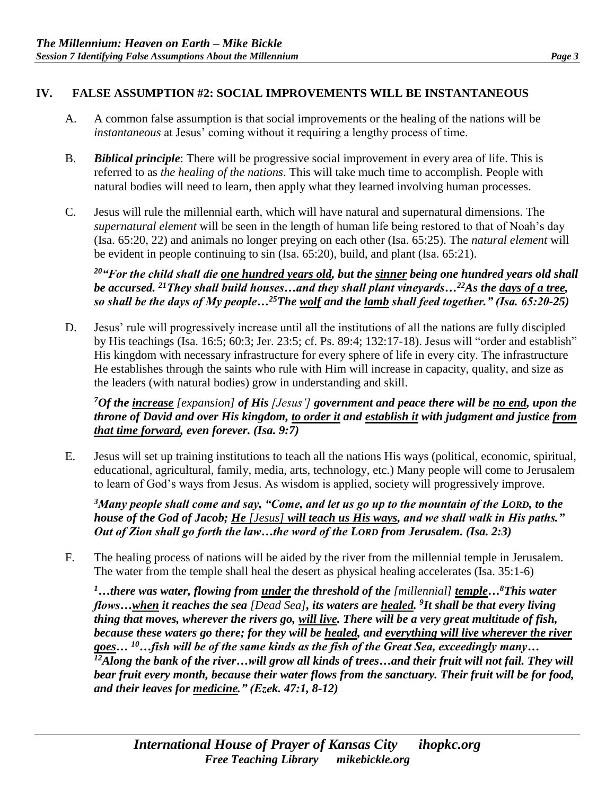## **IV. FALSE ASSUMPTION #2: SOCIAL IMPROVEMENTS WILL BE INSTANTANEOUS**

- A. A common false assumption is that social improvements or the healing of the nations will be *instantaneous* at Jesus' coming without it requiring a lengthy process of time.
- B. *Biblical principle*: There will be progressive social improvement in every area of life. This is referred to as *the healing of the nations*. This will take much time to accomplish. People with natural bodies will need to learn, then apply what they learned involving human processes.
- C. Jesus will rule the millennial earth, which will have natural and supernatural dimensions. The *supernatural element* will be seen in the length of human life being restored to that of Noah's day (Isa. 65:20, 22) and animals no longer preying on each other (Isa. 65:25). The *natural element* will be evident in people continuing to sin (Isa. 65:20), build, and plant (Isa. 65:21).

*<sup>20</sup>"For the child shall die one hundred years old, but the sinner being one hundred years old shall be accursed. <sup>21</sup>They shall build houses…and they shall plant vineyards…<sup>22</sup>As the days of a tree, so shall be the days of My people…<sup>25</sup>The wolf and the lamb shall feed together." (Isa. 65:20-25)* 

D. Jesus' rule will progressively increase until all the institutions of all the nations are fully discipled by His teachings (Isa. 16:5; 60:3; Jer. 23:5; cf. Ps. 89:4; 132:17-18). Jesus will "order and establish" His kingdom with necessary infrastructure for every sphere of life in every city. The infrastructure He establishes through the saints who rule with Him will increase in capacity, quality, and size as the leaders (with natural bodies) grow in understanding and skill.

*<sup>7</sup>Of the increase [expansion] of His [Jesus'] government and peace there will be no end, upon the throne of David and over His kingdom, to order it and establish it with judgment and justice from that time forward, even forever. (Isa. 9:7)* 

E. Jesus will set up training institutions to teach all the nations His ways (political, economic, spiritual, educational, agricultural, family, media, arts, technology, etc.) Many people will come to Jerusalem to learn of God's ways from Jesus. As wisdom is applied, society will progressively improve.

*<sup>3</sup>Many people shall come and say, "Come, and let us go up to the mountain of the LORD, to the house of the God of Jacob; He [Jesus] will teach us His ways, and we shall walk in His paths." Out of Zion shall go forth the law…the word of the LORD from Jerusalem. (Isa. 2:3)* 

F. The healing process of nations will be aided by the river from the millennial temple in Jerusalem. The water from the temple shall heal the desert as physical healing accelerates (Isa. 35:1-6)

*<sup>1</sup>…there was water, flowing from under the threshold of the [millennial] temple…<sup>8</sup>This water flows…when it reaches the sea [Dead Sea], its waters are healed. 9 It shall be that every living thing that moves, wherever the rivers go, will live. There will be a very great multitude of fish, because these waters go there; for they will be healed, and everything will live wherever the river goes… <sup>10</sup>…fish will be of the same kinds as the fish of the Great Sea, exceedingly many… <sup>12</sup>Along the bank of the river…will grow all kinds of trees…and their fruit will not fail. They will bear fruit every month, because their water flows from the sanctuary. Their fruit will be for food, and their leaves for medicine." (Ezek. 47:1, 8-12)*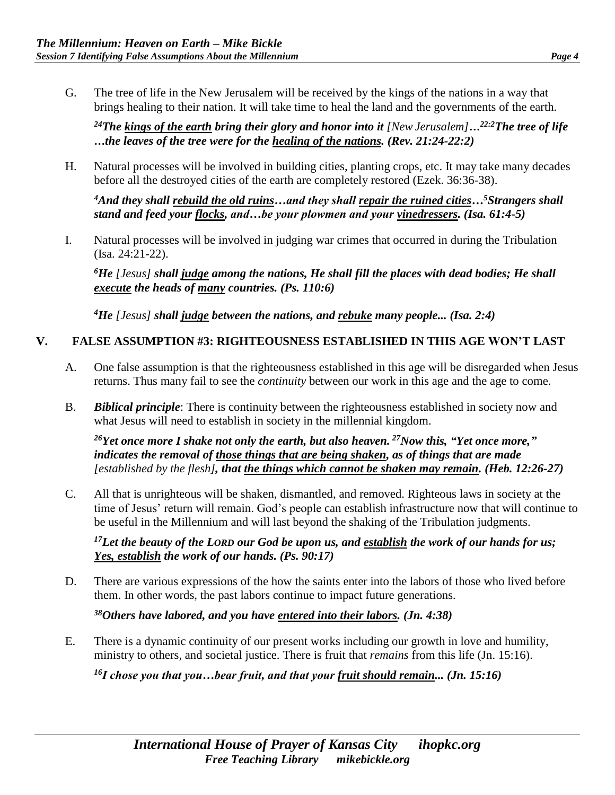G. The tree of life in the New Jerusalem will be received by the kings of the nations in a way that brings healing to their nation. It will take time to heal the land and the governments of the earth.

*<sup>24</sup>The kings of the earth bring their glory and honor into it [New Jerusalem]…22:2The tree of life …the leaves of the tree were for the healing of the nations. (Rev. 21:24-22:2)* 

H. Natural processes will be involved in building cities, planting crops, etc. It may take many decades before all the destroyed cities of the earth are completely restored (Ezek. 36:36-38).

*<sup>4</sup>And they shall rebuild the old ruins…and they shall repair the ruined cities…<sup>5</sup>Strangers shall stand and feed your flocks, and…be your plowmen and your vinedressers. (Isa. 61:4-5)*

I. Natural processes will be involved in judging war crimes that occurred in during the Tribulation (Isa. 24:21-22).

*<sup>6</sup>He [Jesus] shall judge among the nations, He shall fill the places with dead bodies; He shall execute the heads of many countries. (Ps. 110:6)* 

*<sup>4</sup>He [Jesus] shall judge between the nations, and rebuke many people... (Isa. 2:4)* 

#### **V. FALSE ASSUMPTION #3: RIGHTEOUSNESS ESTABLISHED IN THIS AGE WON'T LAST**

- A. One false assumption is that the righteousness established in this age will be disregarded when Jesus returns. Thus many fail to see the *continuity* between our work in this age and the age to come.
- B. *Biblical principle*: There is continuity between the righteousness established in society now and what Jesus will need to establish in society in the millennial kingdom.

*<sup>26</sup>Yet once more I shake not only the earth, but also heaven. <sup>27</sup>Now this, "Yet once more," indicates the removal of those things that are being shaken, as of things that are made [established by the flesh], that the things which cannot be shaken may remain. (Heb. 12:26-27)* 

C. All that is unrighteous will be shaken, dismantled, and removed. Righteous laws in society at the time of Jesus' return will remain. God's people can establish infrastructure now that will continue to be useful in the Millennium and will last beyond the shaking of the Tribulation judgments.

*<sup>17</sup>Let the beauty of the LORD our God be upon us, and establish the work of our hands for us; Yes, establish the work of our hands. (Ps. 90:17)* 

D. There are various expressions of the how the saints enter into the labors of those who lived before them. In other words, the past labors continue to impact future generations.

*<sup>38</sup>Others have labored, and you have entered into their labors. (Jn. 4:38)*

E. There is a dynamic continuity of our present works including our growth in love and humility, ministry to others, and societal justice. There is fruit that *remains* from this life (Jn. 15:16).

*16I chose you that you…bear fruit, and that your fruit should remain... (Jn. 15:16)*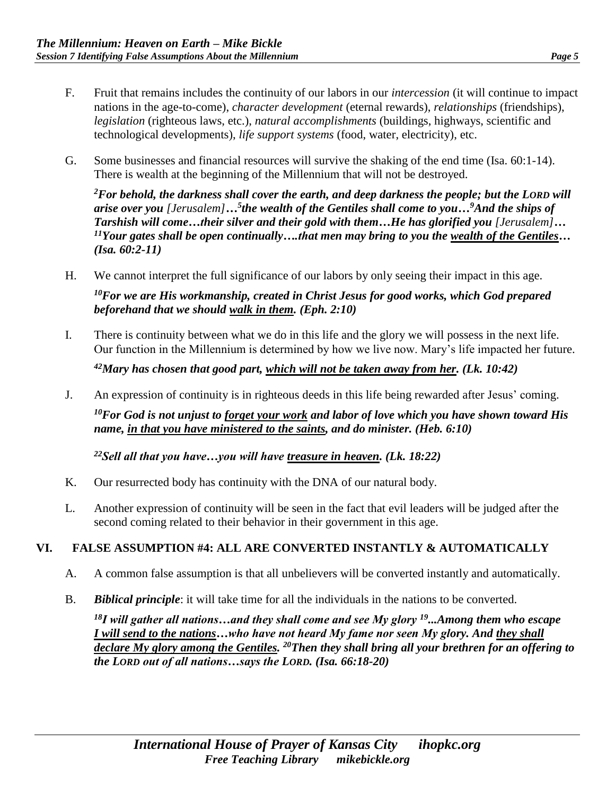- F. Fruit that remains includes the continuity of our labors in our *intercession* (it will continue to impact nations in the age-to-come), *character development* (eternal rewards), *relationships* (friendships), *legislation* (righteous laws, etc.), *natural accomplishments* (buildings, highways, scientific and technological developments), *life support systems* (food, water, electricity), etc.
- G. Some businesses and financial resources will survive the shaking of the end time (Isa. 60:1-14). There is wealth at the beginning of the Millennium that will not be destroyed.

*<sup>2</sup>For behold, the darkness shall cover the earth, and deep darkness the people; but the LORD will arise over you [Jerusalem]…<sup>5</sup> the wealth of the Gentiles shall come to you…<sup>9</sup>And the ships of Tarshish will come…their silver and their gold with them…He has glorified you [Jerusalem]… <sup>11</sup>Your gates shall be open continually….that men may bring to you the wealth of the Gentiles… (Isa. 60:2-11)*

H. We cannot interpret the full significance of our labors by only seeing their impact in this age.

*<sup>10</sup>For we are His workmanship, created in Christ Jesus for good works, which God prepared beforehand that we should walk in them. (Eph. 2:10)* 

I. There is continuity between what we do in this life and the glory we will possess in the next life. Our function in the Millennium is determined by how we live now. Mary's life impacted her future.

*<sup>42</sup>Mary has chosen that good part, which will not be taken away from her. (Lk. 10:42)* 

J. An expression of continuity is in righteous deeds in this life being rewarded after Jesus' coming.

*<sup>10</sup>For God is not unjust to forget your work and labor of love which you have shown toward His name, in that you have ministered to the saints, and do minister. (Heb. 6:10)*

*<sup>22</sup>Sell all that you have…you will have treasure in heaven. (Lk. 18:22)* 

- K. Our resurrected body has continuity with the DNA of our natural body.
- L. Another expression of continuity will be seen in the fact that evil leaders will be judged after the second coming related to their behavior in their government in this age.

## **VI. FALSE ASSUMPTION #4: ALL ARE CONVERTED INSTANTLY & AUTOMATICALLY**

- A. A common false assumption is that all unbelievers will be converted instantly and automatically.
- B. *Biblical principle*: it will take time for all the individuals in the nations to be converted.

*<sup>18</sup>I will gather all nations…and they shall come and see My glory <sup>19</sup>...Among them who escape I will send to the nations…who have not heard My fame nor seen My glory. And they shall declare My glory among the Gentiles. <sup>20</sup>Then they shall bring all your brethren for an offering to the LORD out of all nations…says the LORD. (Isa. 66:18-20)*